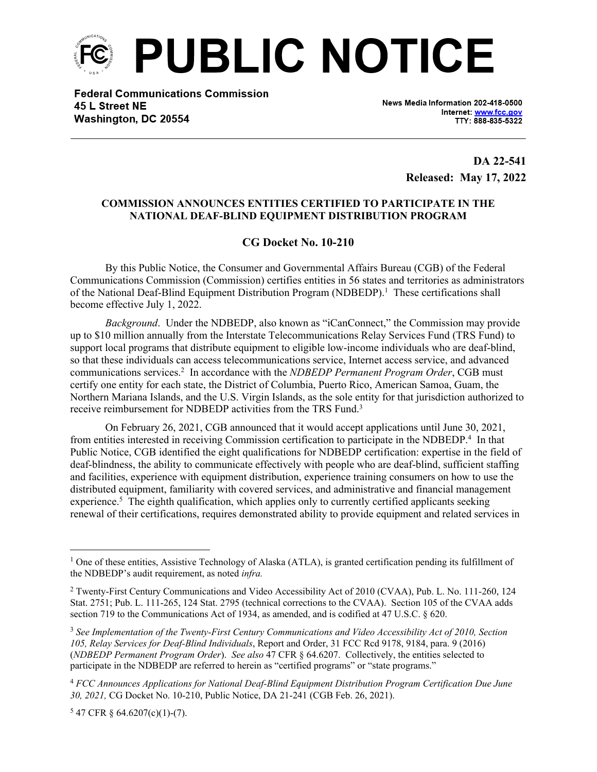

**Federal Communications Commission** 45 L Street NE Washington, DC 20554

News Media Information 202-418-0500 Internet: www.fcc.gov TTY: 888-835-5322

> **DA 22-541 Released: May 17, 2022**

## **COMMISSION ANNOUNCES ENTITIES CERTIFIED TO PARTICIPATE IN THE NATIONAL DEAF-BLIND EQUIPMENT DISTRIBUTION PROGRAM**

## **CG Docket No. 10-210**

By this Public Notice, the Consumer and Governmental Affairs Bureau (CGB) of the Federal Communications Commission (Commission) certifies entities in 56 states and territories as administrators of the National Deaf-Blind Equipment Distribution Program (NDBEDP).<sup>1</sup> These certifications shall become effective July 1, 2022.

*Background*. Under the NDBEDP, also known as "iCanConnect," the Commission may provide up to \$10 million annually from the Interstate Telecommunications Relay Services Fund (TRS Fund) to support local programs that distribute equipment to eligible low-income individuals who are deaf-blind, so that these individuals can access telecommunications service, Internet access service, and advanced communications services.<sup>2</sup> In accordance with the *NDBEDP Permanent Program Order*, CGB must certify one entity for each state, the District of Columbia, Puerto Rico, American Samoa, Guam, the Northern Mariana Islands, and the U.S. Virgin Islands, as the sole entity for that jurisdiction authorized to receive reimbursement for NDBEDP activities from the TRS Fund.<sup>3</sup>

On February 26, 2021, CGB announced that it would accept applications until June 30, 2021, from entities interested in receiving Commission certification to participate in the NDBEDP.<sup>4</sup> In that Public Notice, CGB identified the eight qualifications for NDBEDP certification: expertise in the field of deaf-blindness, the ability to communicate effectively with people who are deaf-blind, sufficient staffing and facilities, experience with equipment distribution, experience training consumers on how to use the distributed equipment, familiarity with covered services, and administrative and financial management experience.<sup>5</sup> The eighth qualification, which applies only to currently certified applicants seeking renewal of their certifications, requires demonstrated ability to provide equipment and related services in

 $547$  CFR § 64.6207(c)(1)-(7).

<sup>&</sup>lt;sup>1</sup> One of these entities, Assistive Technology of Alaska (ATLA), is granted certification pending its fulfillment of the NDBEDP's audit requirement, as noted *infra.*

<sup>&</sup>lt;sup>2</sup> Twenty-First Century Communications and Video Accessibility Act of 2010 (CVAA), Pub. L. No. 111-260, 124 Stat. 2751; Pub. L. 111-265, 124 Stat. 2795 (technical corrections to the CVAA). Section 105 of the CVAA adds section 719 to the Communications Act of 1934, as amended, and is codified at 47 U.S.C. § 620.

<sup>3</sup> *See Implementation of the Twenty-First Century Communications and Video Accessibility Act of 2010, Section 105, Relay Services for Deaf-Blind Individuals*, Report and Order, 31 FCC Rcd 9178, 9184, para. 9 (2016) (*NDBEDP Permanent Program Order*). *See also* 47 CFR § 64.6207. Collectively, the entities selected to participate in the NDBEDP are referred to herein as "certified programs" or "state programs."

<sup>4</sup> *FCC Announces Applications for National Deaf-Blind Equipment Distribution Program Certification Due June 30, 2021,* CG Docket No. 10-210, Public Notice, DA 21-241 (CGB Feb. 26, 2021).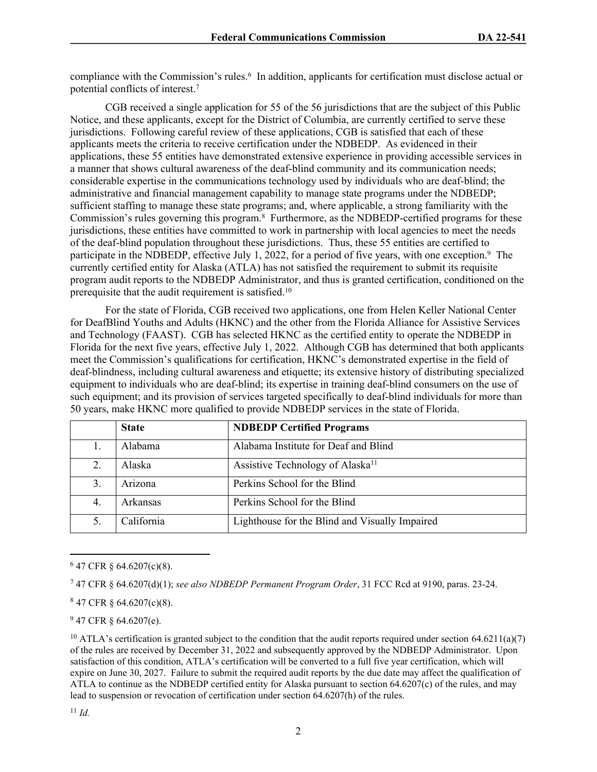compliance with the Commission's rules.<sup>6</sup> In addition, applicants for certification must disclose actual or potential conflicts of interest.<sup>7</sup>

CGB received a single application for 55 of the 56 jurisdictions that are the subject of this Public Notice, and these applicants, except for the District of Columbia, are currently certified to serve these jurisdictions. Following careful review of these applications, CGB is satisfied that each of these applicants meets the criteria to receive certification under the NDBEDP. As evidenced in their applications, these 55 entities have demonstrated extensive experience in providing accessible services in a manner that shows cultural awareness of the deaf-blind community and its communication needs; considerable expertise in the communications technology used by individuals who are deaf-blind; the administrative and financial management capability to manage state programs under the NDBEDP; sufficient staffing to manage these state programs; and, where applicable, a strong familiarity with the Commission's rules governing this program.<sup>8</sup> Furthermore, as the NDBEDP-certified programs for these jurisdictions, these entities have committed to work in partnership with local agencies to meet the needs of the deaf-blind population throughout these jurisdictions. Thus, these 55 entities are certified to participate in the NDBEDP, effective July 1, 2022, for a period of five years, with one exception.<sup>9</sup> The currently certified entity for Alaska (ATLA) has not satisfied the requirement to submit its requisite program audit reports to the NDBEDP Administrator, and thus is granted certification, conditioned on the prerequisite that the audit requirement is satisfied.<sup>10</sup>

For the state of Florida, CGB received two applications, one from Helen Keller National Center for DeafBlind Youths and Adults (HKNC) and the other from the Florida Alliance for Assistive Services and Technology (FAAST). CGB has selected HKNC as the certified entity to operate the NDBEDP in Florida for the next five years, effective July 1, 2022. Although CGB has determined that both applicants meet the Commission's qualifications for certification, HKNC's demonstrated expertise in the field of deaf-blindness, including cultural awareness and etiquette; its extensive history of distributing specialized equipment to individuals who are deaf-blind; its expertise in training deaf-blind consumers on the use of such equipment; and its provision of services targeted specifically to deaf-blind individuals for more than 50 years, make HKNC more qualified to provide NDBEDP services in the state of Florida.

|    | <b>State</b> | <b>NDBEDP Certified Programs</b>               |
|----|--------------|------------------------------------------------|
| 1. | Alabama      | Alabama Institute for Deaf and Blind           |
| 2. | Alaska       | Assistive Technology of Alaska <sup>11</sup>   |
| 3. | Arizona      | Perkins School for the Blind                   |
| 4. | Arkansas     | Perkins School for the Blind                   |
| 5. | California   | Lighthouse for the Blind and Visually Impaired |

<sup>6</sup> 47 CFR § 64.6207(c)(8).

7 47 CFR § 64.6207(d)(1); *see also NDBEDP Permanent Program Order*, 31 FCC Rcd at 9190, paras. 23-24.

<sup>8</sup> 47 CFR § 64.6207(c)(8).

 $947$  CFR  $§$  64.6207(e).

<sup>&</sup>lt;sup>10</sup> ATLA's certification is granted subject to the condition that the audit reports required under section  $64.6211(a)(7)$ of the rules are received by December 31, 2022 and subsequently approved by the NDBEDP Administrator. Upon satisfaction of this condition, ATLA's certification will be converted to a full five year certification, which will expire on June 30, 2027. Failure to submit the required audit reports by the due date may affect the qualification of ATLA to continue as the NDBEDP certified entity for Alaska pursuant to section 64.6207(c) of the rules, and may lead to suspension or revocation of certification under section 64.6207(h) of the rules.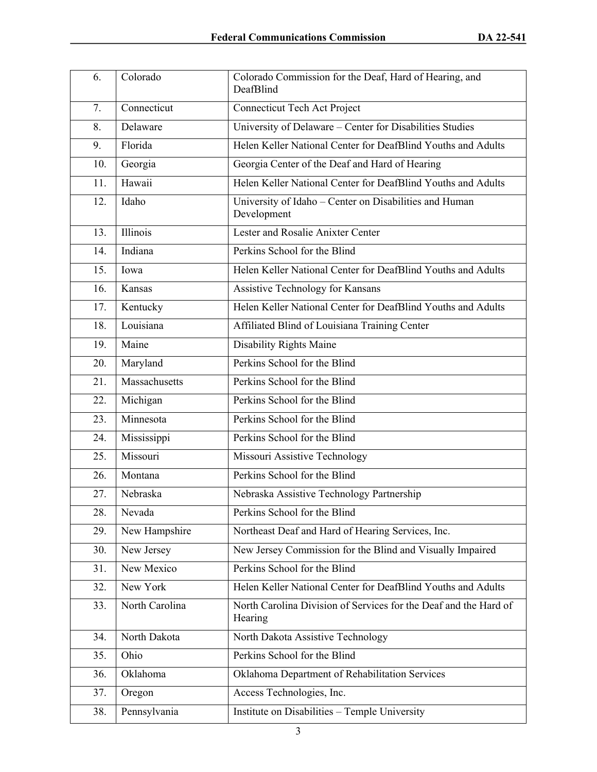| 6.  | Colorado       | Colorado Commission for the Deaf, Hard of Hearing, and<br>DeafBlind         |
|-----|----------------|-----------------------------------------------------------------------------|
| 7.  | Connecticut    | Connecticut Tech Act Project                                                |
| 8.  | Delaware       | University of Delaware - Center for Disabilities Studies                    |
| 9.  | Florida        | Helen Keller National Center for DeafBlind Youths and Adults                |
| 10. | Georgia        | Georgia Center of the Deaf and Hard of Hearing                              |
| 11. | Hawaii         | Helen Keller National Center for DeafBlind Youths and Adults                |
| 12. | Idaho          | University of Idaho - Center on Disabilities and Human<br>Development       |
| 13. | Illinois       | Lester and Rosalie Anixter Center                                           |
| 14. | Indiana        | Perkins School for the Blind                                                |
| 15. | Iowa           | Helen Keller National Center for DeafBlind Youths and Adults                |
| 16. | Kansas         | Assistive Technology for Kansans                                            |
| 17. | Kentucky       | Helen Keller National Center for DeafBlind Youths and Adults                |
| 18. | Louisiana      | Affiliated Blind of Louisiana Training Center                               |
| 19. | Maine          | Disability Rights Maine                                                     |
| 20. | Maryland       | Perkins School for the Blind                                                |
| 21. | Massachusetts  | Perkins School for the Blind                                                |
| 22. | Michigan       | Perkins School for the Blind                                                |
| 23. | Minnesota      | Perkins School for the Blind                                                |
| 24. | Mississippi    | Perkins School for the Blind                                                |
| 25. | Missouri       | Missouri Assistive Technology                                               |
| 26. | Montana        | Perkins School for the Blind                                                |
| 27. | Nebraska       | Nebraska Assistive Technology Partnership                                   |
| 28. | Nevada         | Perkins School for the Blind                                                |
| 29. | New Hampshire  | Northeast Deaf and Hard of Hearing Services, Inc.                           |
| 30. | New Jersey     | New Jersey Commission for the Blind and Visually Impaired                   |
| 31. | New Mexico     | Perkins School for the Blind                                                |
| 32. | New York       | Helen Keller National Center for DeafBlind Youths and Adults                |
| 33. | North Carolina | North Carolina Division of Services for the Deaf and the Hard of<br>Hearing |
| 34. | North Dakota   | North Dakota Assistive Technology                                           |
| 35. | Ohio           | Perkins School for the Blind                                                |
| 36. | Oklahoma       | Oklahoma Department of Rehabilitation Services                              |
| 37. | Oregon         | Access Technologies, Inc.                                                   |
| 38. | Pennsylvania   | Institute on Disabilities - Temple University                               |